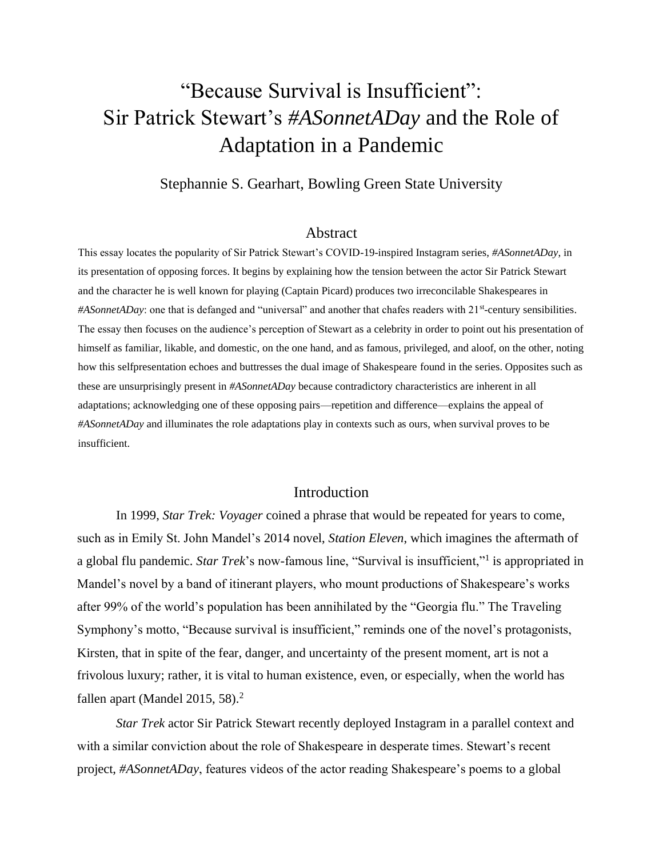# "Because Survival is Insufficient": Sir Patrick Stewart's *#ASonnetADay* and the Role of Adaptation in a Pandemic

Stephannie S. Gearhart, Bowling Green State University

#### Abstract

This essay locates the popularity of Sir Patrick Stewart's COVID-19-inspired Instagram series, *#ASonnetADay*, in its presentation of opposing forces. It begins by explaining how the tension between the actor Sir Patrick Stewart and the character he is well known for playing (Captain Picard) produces two irreconcilable Shakespeares in #ASonnetADay: one that is defanged and "universal" and another that chafes readers with 21<sup>st</sup>-century sensibilities. The essay then focuses on the audience's perception of Stewart as a celebrity in order to point out his presentation of himself as familiar, likable, and domestic, on the one hand, and as famous, privileged, and aloof, on the other, noting how this selfpresentation echoes and buttresses the dual image of Shakespeare found in the series. Opposites such as these are unsurprisingly present in *#ASonnetADay* because contradictory characteristics are inherent in all adaptations; acknowledging one of these opposing pairs—repetition and difference—explains the appeal of *#ASonnetADay* and illuminates the role adaptations play in contexts such as ours, when survival proves to be insufficient.

# Introduction

In 1999, *Star Trek: Voyager* coined a phrase that would be repeated for years to come, such as in Emily St. John Mandel's 2014 novel, *Station Eleven*, which imagines the aftermath of a global flu pandemic. *Star Trek*'s now-famous line, "Survival is insufficient,"<sup>1</sup> is appropriated in Mandel's novel by a band of itinerant players, who mount productions of Shakespeare's works after 99% of the world's population has been annihilated by the "Georgia flu." The Traveling Symphony's motto, "Because survival is insufficient," reminds one of the novel's protagonists, Kirsten, that in spite of the fear, danger, and uncertainty of the present moment, art is not a frivolous luxury; rather, it is vital to human existence, even, or especially, when the world has fallen apart (Mandel 2015, 58). $<sup>2</sup>$ </sup>

*Star Trek* actor Sir Patrick Stewart recently deployed Instagram in a parallel context and with a similar conviction about the role of Shakespeare in desperate times. Stewart's recent project, *#ASonnetADay*, features videos of the actor reading Shakespeare's poems to a global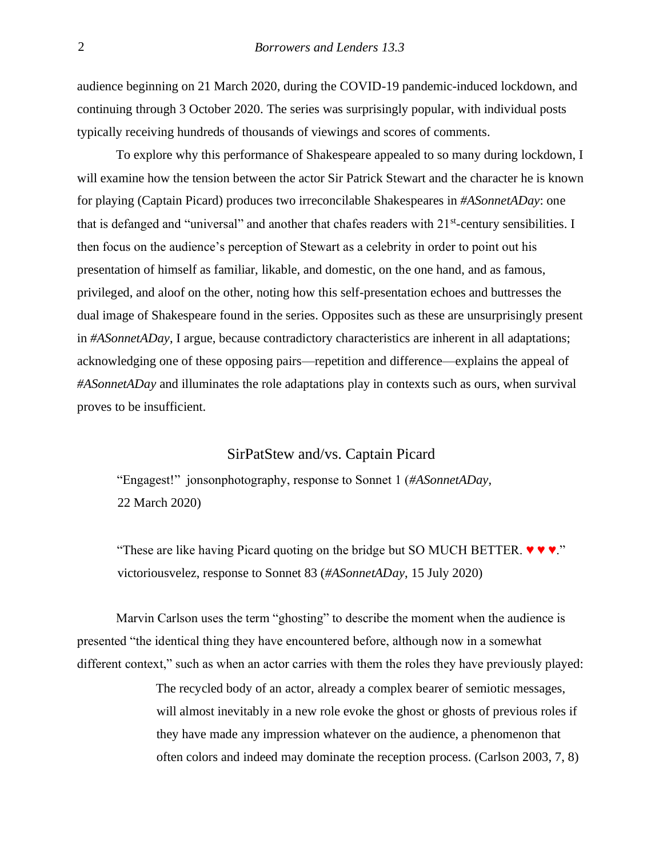audience beginning on 21 March 2020, during the COVID-19 pandemic-induced lockdown, and continuing through 3 October 2020. The series was surprisingly popular, with individual posts typically receiving hundreds of thousands of viewings and scores of comments.

To explore why this performance of Shakespeare appealed to so many during lockdown, I will examine how the tension between the actor Sir Patrick Stewart and the character he is known for playing (Captain Picard) produces two irreconcilable Shakespeares in *#ASonnetADay*: one that is defanged and "universal" and another that chafes readers with 21<sup>st</sup>-century sensibilities. I then focus on the audience's perception of Stewart as a celebrity in order to point out his presentation of himself as familiar, likable, and domestic, on the one hand, and as famous, privileged, and aloof on the other, noting how this self-presentation echoes and buttresses the dual image of Shakespeare found in the series. Opposites such as these are unsurprisingly present in *#ASonnetADay*, I argue, because contradictory characteristics are inherent in all adaptations; acknowledging one of these opposing pairs—repetition and difference—explains the appeal of *#ASonnetADay* and illuminates the role adaptations play in contexts such as ours, when survival proves to be insufficient.

# SirPatStew and/vs. Captain Picard

"Engagest!" jonsonphotography, response to Sonnet 1 (*#ASonnetADay*, 22 March 2020)

"These are like having Picard quoting on the bridge but SO MUCH BETTER.  $\blacktriangledown \blacktriangledown \blacktriangledown \blacktriangledown$ ." victoriousvelez, response to Sonnet 83 (*#ASonnetADay*, 15 July 2020)

Marvin Carlson uses the term "ghosting" to describe the moment when the audience is presented "the identical thing they have encountered before, although now in a somewhat different context," such as when an actor carries with them the roles they have previously played:

> The recycled body of an actor, already a complex bearer of semiotic messages, will almost inevitably in a new role evoke the ghost or ghosts of previous roles if they have made any impression whatever on the audience, a phenomenon that often colors and indeed may dominate the reception process. (Carlson 2003, 7, 8)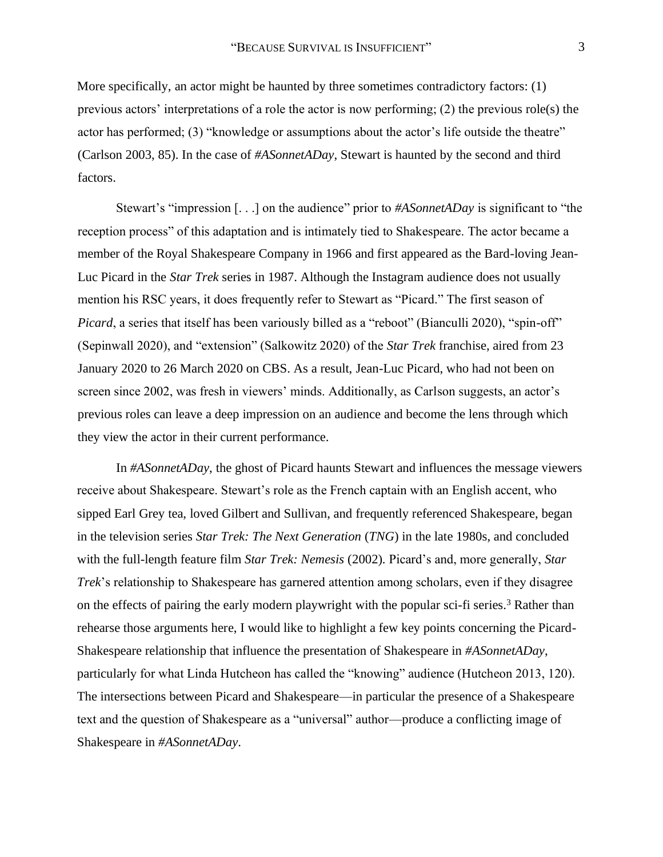More specifically, an actor might be haunted by three sometimes contradictory factors: (1) previous actors' interpretations of a role the actor is now performing; (2) the previous role(s) the actor has performed; (3) "knowledge or assumptions about the actor's life outside the theatre" (Carlson 2003, 85). In the case of *#ASonnetADay*, Stewart is haunted by the second and third factors.

Stewart's "impression [. . .] on the audience" prior to *#ASonnetADay* is significant to "the reception process" of this adaptation and is intimately tied to Shakespeare. The actor became a member of the Royal Shakespeare Company in 1966 and first appeared as the Bard-loving Jean-Luc Picard in the *Star Trek* series in 1987. Although the Instagram audience does not usually mention his RSC years, it does frequently refer to Stewart as "Picard." The first season of *Picard*, a series that itself has been variously billed as a "reboot" (Bianculli 2020), "spin-off" (Sepinwall 2020), and "extension" (Salkowitz 2020) of the *Star Trek* franchise, aired from 23 January 2020 to 26 March 2020 on CBS. As a result, Jean-Luc Picard, who had not been on screen since 2002, was fresh in viewers' minds. Additionally, as Carlson suggests, an actor's previous roles can leave a deep impression on an audience and become the lens through which they view the actor in their current performance.

In *#ASonnetADay*, the ghost of Picard haunts Stewart and influences the message viewers receive about Shakespeare. Stewart's role as the French captain with an English accent, who sipped Earl Grey tea, loved Gilbert and Sullivan, and frequently referenced Shakespeare, began in the television series *Star Trek: The Next Generation* (*TNG*) in the late 1980s, and concluded with the full-length feature film *Star Trek: Nemesis* (2002)*.* Picard's and, more generally, *Star Trek*'s relationship to Shakespeare has garnered attention among scholars, even if they disagree on the effects of pairing the early modern playwright with the popular sci-fi series.<sup>3</sup> Rather than rehearse those arguments here, I would like to highlight a few key points concerning the Picard-Shakespeare relationship that influence the presentation of Shakespeare in *#ASonnetADay*, particularly for what Linda Hutcheon has called the "knowing" audience (Hutcheon 2013, 120). The intersections between Picard and Shakespeare—in particular the presence of a Shakespeare text and the question of Shakespeare as a "universal" author—produce a conflicting image of Shakespeare in *#ASonnetADay*.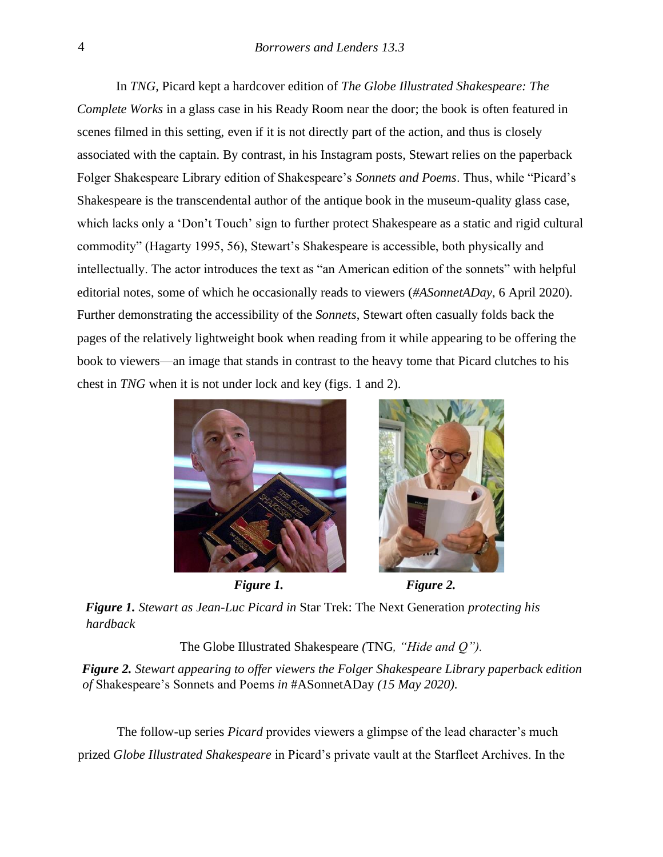In *TNG*, Picard kept a hardcover edition of *The Globe Illustrated Shakespeare: The Complete Works* in a glass case in his Ready Room near the door; the book is often featured in scenes filmed in this setting, even if it is not directly part of the action, and thus is closely associated with the captain. By contrast, in his Instagram posts, Stewart relies on the paperback Folger Shakespeare Library edition of Shakespeare's *Sonnets and Poems*. Thus, while "Picard's Shakespeare is the transcendental author of the antique book in the museum-quality glass case, which lacks only a 'Don't Touch' sign to further protect Shakespeare as a static and rigid cultural commodity" (Hagarty 1995, 56), Stewart's Shakespeare is accessible, both physically and intellectually. The actor introduces the text as "an American edition of the sonnets" with helpful editorial notes, some of which he occasionally reads to viewers (*#ASonnetADay*, 6 April 2020). Further demonstrating the accessibility of the *Sonnets*, Stewart often casually folds back the pages of the relatively lightweight book when reading from it while appearing to be offering the book to viewers—an image that stands in contrast to the heavy tome that Picard clutches to his chest in *TNG* when it is not under lock and key (figs. 1 and 2).





*Figure 1. Stewart as Jean-Luc Picard in* Star Trek: The Next Generation *protecting his hardback* 

The Globe Illustrated Shakespeare *(*TNG*, "Hide and Q").* 

*Figure 2. Stewart appearing to offer viewers the Folger Shakespeare Library paperback edition of* Shakespeare's Sonnets and Poems *in* #ASonnetADay *(15 May 2020).*

The follow-up series *Picard* provides viewers a glimpse of the lead character's much prized *Globe Illustrated Shakespeare* in Picard's private vault at the Starfleet Archives. In the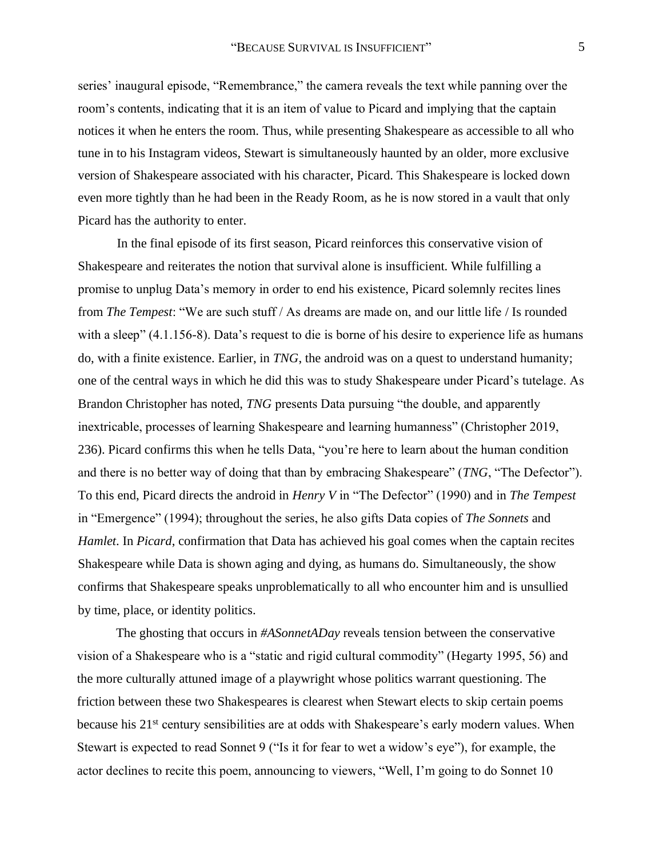series' inaugural episode, "Remembrance," the camera reveals the text while panning over the room's contents, indicating that it is an item of value to Picard and implying that the captain notices it when he enters the room. Thus, while presenting Shakespeare as accessible to all who tune in to his Instagram videos, Stewart is simultaneously haunted by an older, more exclusive version of Shakespeare associated with his character, Picard. This Shakespeare is locked down even more tightly than he had been in the Ready Room, as he is now stored in a vault that only Picard has the authority to enter.

In the final episode of its first season, Picard reinforces this conservative vision of Shakespeare and reiterates the notion that survival alone is insufficient. While fulfilling a promise to unplug Data's memory in order to end his existence, Picard solemnly recites lines from *The Tempest*: "We are such stuff / As dreams are made on, and our little life / Is rounded with a sleep" (4.1.156-8). Data's request to die is borne of his desire to experience life as humans do, with a finite existence. Earlier, in *TNG*, the android was on a quest to understand humanity; one of the central ways in which he did this was to study Shakespeare under Picard's tutelage. As Brandon Christopher has noted, *TNG* presents Data pursuing "the double, and apparently inextricable, processes of learning Shakespeare and learning humanness" (Christopher 2019, 236). Picard confirms this when he tells Data, "you're here to learn about the human condition and there is no better way of doing that than by embracing Shakespeare" (*TNG*, "The Defector"). To this end, Picard directs the android in *Henry V* in "The Defector" (1990) and in *The Tempest* in "Emergence" (1994); throughout the series, he also gifts Data copies of *The Sonnets* and *Hamlet*. In *Picard*, confirmation that Data has achieved his goal comes when the captain recites Shakespeare while Data is shown aging and dying, as humans do. Simultaneously, the show confirms that Shakespeare speaks unproblematically to all who encounter him and is unsullied by time, place, or identity politics.

The ghosting that occurs in *#ASonnetADay* reveals tension between the conservative vision of a Shakespeare who is a "static and rigid cultural commodity" (Hegarty 1995, 56) and the more culturally attuned image of a playwright whose politics warrant questioning. The friction between these two Shakespeares is clearest when Stewart elects to skip certain poems because his 21<sup>st</sup> century sensibilities are at odds with Shakespeare's early modern values. When Stewart is expected to read Sonnet 9 ("Is it for fear to wet a widow's eye"), for example, the actor declines to recite this poem, announcing to viewers, "Well, I'm going to do Sonnet 10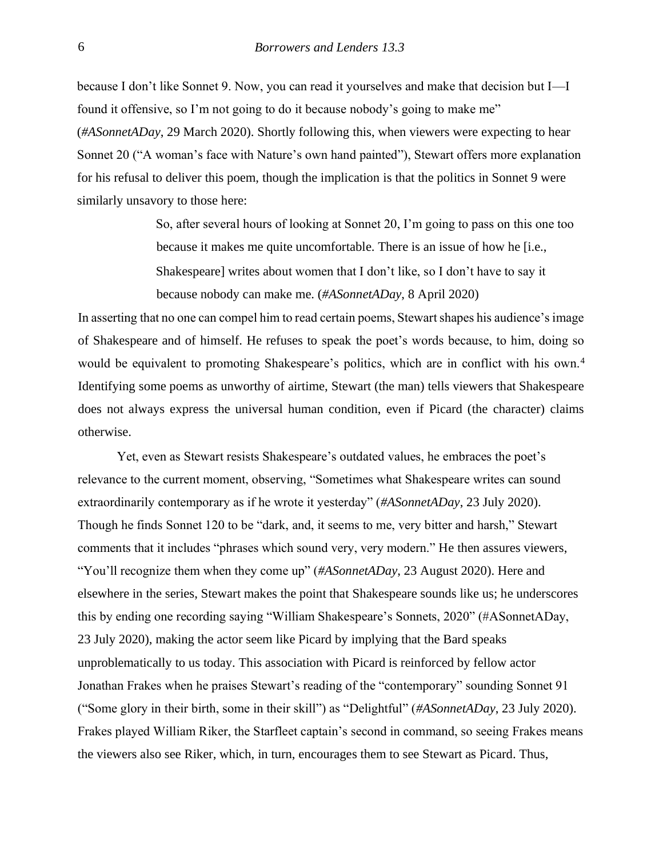because I don't like Sonnet 9. Now, you can read it yourselves and make that decision but I—I found it offensive, so I'm not going to do it because nobody's going to make me" (*#ASonnetADay*, 29 March 2020). Shortly following this, when viewers were expecting to hear Sonnet 20 ("A woman's face with Nature's own hand painted"), Stewart offers more explanation for his refusal to deliver this poem, though the implication is that the politics in Sonnet 9 were similarly unsavory to those here:

> So, after several hours of looking at Sonnet 20, I'm going to pass on this one too because it makes me quite uncomfortable. There is an issue of how he [i.e., Shakespeare] writes about women that I don't like, so I don't have to say it because nobody can make me. (*#ASonnetADay*, 8 April 2020)

In asserting that no one can compel him to read certain poems, Stewart shapes his audience's image of Shakespeare and of himself. He refuses to speak the poet's words because, to him, doing so would be equivalent to promoting Shakespeare's politics, which are in conflict with his own.<sup>4</sup> Identifying some poems as unworthy of airtime, Stewart (the man) tells viewers that Shakespeare does not always express the universal human condition, even if Picard (the character) claims otherwise.

Yet, even as Stewart resists Shakespeare's outdated values, he embraces the poet's relevance to the current moment, observing, "Sometimes what Shakespeare writes can sound extraordinarily contemporary as if he wrote it yesterday" (*#ASonnetADay*, 23 July 2020). Though he finds Sonnet 120 to be "dark, and, it seems to me, very bitter and harsh," Stewart comments that it includes "phrases which sound very, very modern." He then assures viewers, "You'll recognize them when they come up" (*#ASonnetADay*, 23 August 2020). Here and elsewhere in the series, Stewart makes the point that Shakespeare sounds like us; he underscores this by ending one recording saying "William Shakespeare's Sonnets, 2020" (#ASonnetADay, 23 July 2020), making the actor seem like Picard by implying that the Bard speaks unproblematically to us today. This association with Picard is reinforced by fellow actor Jonathan Frakes when he praises Stewart's reading of the "contemporary" sounding Sonnet 91 ("Some glory in their birth, some in their skill") as "Delightful" (*#ASonnetADay*, 23 July 2020). Frakes played William Riker, the Starfleet captain's second in command, so seeing Frakes means the viewers also see Riker, which, in turn, encourages them to see Stewart as Picard. Thus,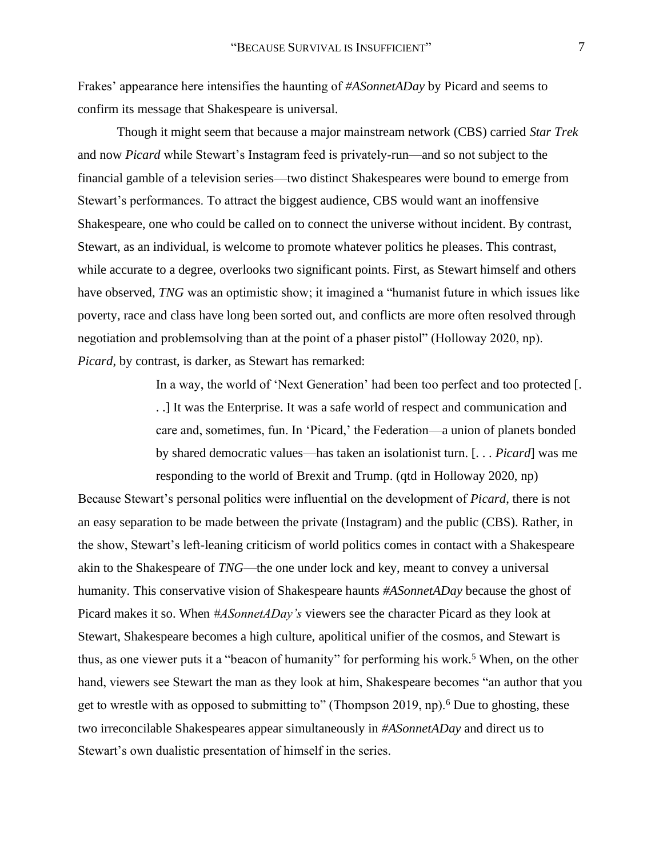Frakes' appearance here intensifies the haunting of *#ASonnetADay* by Picard and seems to confirm its message that Shakespeare is universal.

Though it might seem that because a major mainstream network (CBS) carried *Star Trek* and now *Picard* while Stewart's Instagram feed is privately-run—and so not subject to the financial gamble of a television series—two distinct Shakespeares were bound to emerge from Stewart's performances. To attract the biggest audience, CBS would want an inoffensive Shakespeare, one who could be called on to connect the universe without incident. By contrast, Stewart, as an individual, is welcome to promote whatever politics he pleases. This contrast, while accurate to a degree, overlooks two significant points. First, as Stewart himself and others have observed, *TNG* was an optimistic show; it imagined a "humanist future in which issues like poverty, race and class have long been sorted out, and conflicts are more often resolved through negotiation and problemsolving than at the point of a phaser pistol" (Holloway 2020, np). *Picard*, by contrast, is darker, as Stewart has remarked:

> In a way, the world of 'Next Generation' had been too perfect and too protected [. . .] It was the Enterprise. It was a safe world of respect and communication and care and, sometimes, fun. In 'Picard,' the Federation—a union of planets bonded by shared democratic values—has taken an isolationist turn. [. . . *Picard*] was me responding to the world of Brexit and Trump. (qtd in Holloway 2020, np)

Because Stewart's personal politics were influential on the development of *Picard*, there is not an easy separation to be made between the private (Instagram) and the public (CBS). Rather, in the show, Stewart's left-leaning criticism of world politics comes in contact with a Shakespeare akin to the Shakespeare of *TNG*—the one under lock and key, meant to convey a universal humanity. This conservative vision of Shakespeare haunts *#ASonnetADay* because the ghost of Picard makes it so. When *#ASonnetADay's* viewers see the character Picard as they look at Stewart, Shakespeare becomes a high culture, apolitical unifier of the cosmos, and Stewart is thus, as one viewer puts it a "beacon of humanity" for performing his work.<sup>5</sup> When, on the other hand, viewers see Stewart the man as they look at him, Shakespeare becomes "an author that you get to wrestle with as opposed to submitting to" (Thompson 2019, np).<sup>6</sup> Due to ghosting, these two irreconcilable Shakespeares appear simultaneously in *#ASonnetADay* and direct us to Stewart's own dualistic presentation of himself in the series.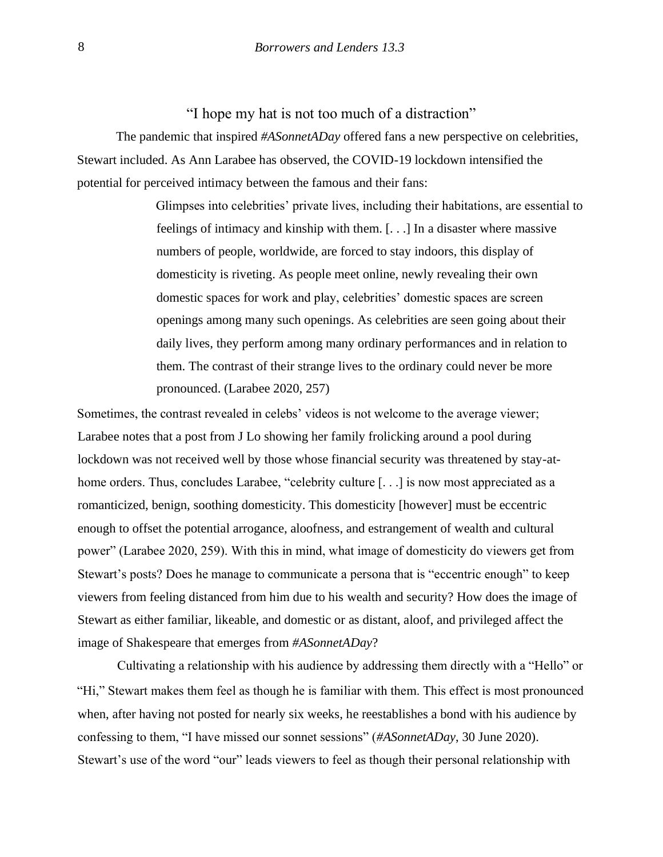"I hope my hat is not too much of a distraction"

The pandemic that inspired *#ASonnetADay* offered fans a new perspective on celebrities, Stewart included. As Ann Larabee has observed, the COVID-19 lockdown intensified the potential for perceived intimacy between the famous and their fans:

> Glimpses into celebrities' private lives, including their habitations, are essential to feelings of intimacy and kinship with them. [. . .] In a disaster where massive numbers of people, worldwide, are forced to stay indoors, this display of domesticity is riveting. As people meet online, newly revealing their own domestic spaces for work and play, celebrities' domestic spaces are screen openings among many such openings. As celebrities are seen going about their daily lives, they perform among many ordinary performances and in relation to them. The contrast of their strange lives to the ordinary could never be more pronounced. (Larabee 2020, 257)

Sometimes, the contrast revealed in celebs' videos is not welcome to the average viewer; Larabee notes that a post from J Lo showing her family frolicking around a pool during lockdown was not received well by those whose financial security was threatened by stay-athome orders. Thus, concludes Larabee, "celebrity culture [...] is now most appreciated as a romanticized, benign, soothing domesticity. This domesticity [however] must be eccentric enough to offset the potential arrogance, aloofness, and estrangement of wealth and cultural power" (Larabee 2020, 259). With this in mind, what image of domesticity do viewers get from Stewart's posts? Does he manage to communicate a persona that is "eccentric enough" to keep viewers from feeling distanced from him due to his wealth and security? How does the image of Stewart as either familiar, likeable, and domestic or as distant, aloof, and privileged affect the image of Shakespeare that emerges from *#ASonnetADay*?

Cultivating a relationship with his audience by addressing them directly with a "Hello" or "Hi," Stewart makes them feel as though he is familiar with them. This effect is most pronounced when, after having not posted for nearly six weeks, he reestablishes a bond with his audience by confessing to them, "I have missed our sonnet sessions" (*#ASonnetADay*, 30 June 2020). Stewart's use of the word "our" leads viewers to feel as though their personal relationship with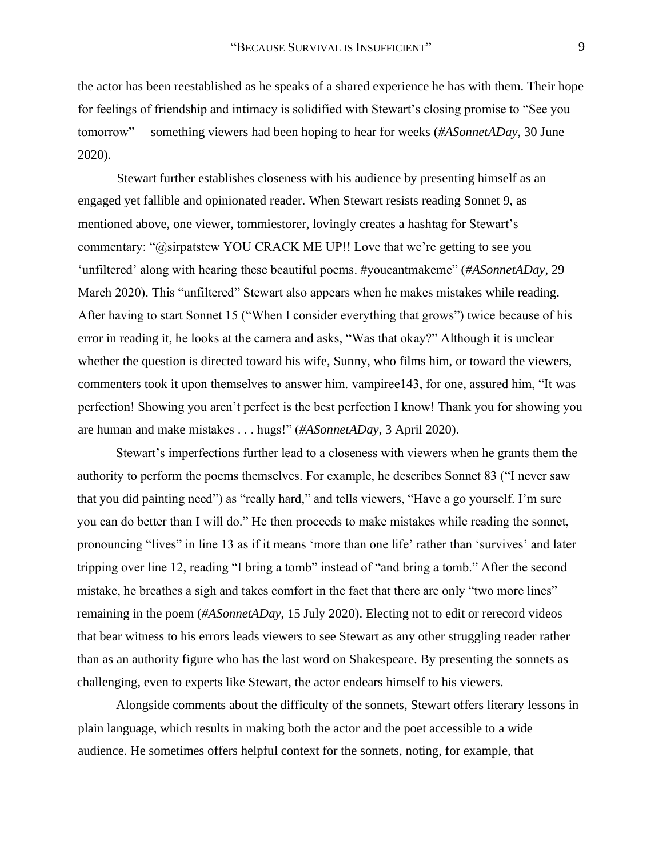the actor has been reestablished as he speaks of a shared experience he has with them. Their hope for feelings of friendship and intimacy is solidified with Stewart's closing promise to "See you tomorrow"— something viewers had been hoping to hear for weeks (*#ASonnetADay*, 30 June 2020).

Stewart further establishes closeness with his audience by presenting himself as an engaged yet fallible and opinionated reader. When Stewart resists reading Sonnet 9, as mentioned above, one viewer, tommiestorer, lovingly creates a hashtag for Stewart's commentary: "@sirpatstew YOU CRACK ME UP!! Love that we're getting to see you 'unfiltered' along with hearing these beautiful poems. #youcantmakeme" (*#ASonnetADay*, 29 March 2020). This "unfiltered" Stewart also appears when he makes mistakes while reading. After having to start Sonnet 15 ("When I consider everything that grows") twice because of his error in reading it, he looks at the camera and asks, "Was that okay?" Although it is unclear whether the question is directed toward his wife, Sunny, who films him, or toward the viewers, commenters took it upon themselves to answer him. vampiree143, for one, assured him, "It was perfection! Showing you aren't perfect is the best perfection I know! Thank you for showing you are human and make mistakes . . . hugs!" (*#ASonnetADay*, 3 April 2020).

Stewart's imperfections further lead to a closeness with viewers when he grants them the authority to perform the poems themselves. For example, he describes Sonnet 83 ("I never saw that you did painting need") as "really hard," and tells viewers, "Have a go yourself. I'm sure you can do better than I will do." He then proceeds to make mistakes while reading the sonnet, pronouncing "lives" in line 13 as if it means 'more than one life' rather than 'survives' and later tripping over line 12, reading "I bring a tomb" instead of "and bring a tomb." After the second mistake, he breathes a sigh and takes comfort in the fact that there are only "two more lines" remaining in the poem (*#ASonnetADay*, 15 July 2020). Electing not to edit or rerecord videos that bear witness to his errors leads viewers to see Stewart as any other struggling reader rather than as an authority figure who has the last word on Shakespeare. By presenting the sonnets as challenging, even to experts like Stewart, the actor endears himself to his viewers.

Alongside comments about the difficulty of the sonnets, Stewart offers literary lessons in plain language, which results in making both the actor and the poet accessible to a wide audience. He sometimes offers helpful context for the sonnets, noting, for example, that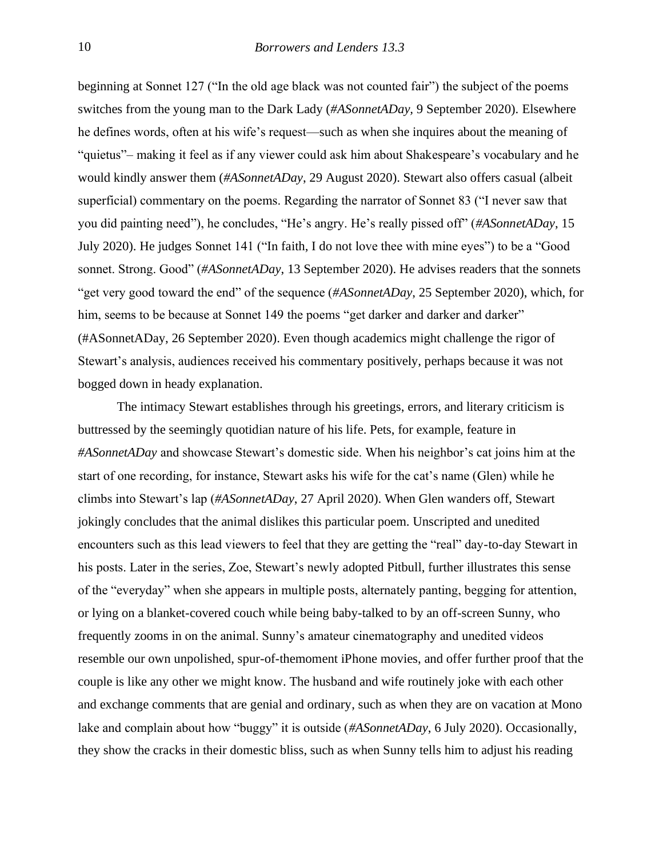beginning at Sonnet 127 ("In the old age black was not counted fair") the subject of the poems switches from the young man to the Dark Lady (*#ASonnetADay,* 9 September 2020). Elsewhere he defines words, often at his wife's request—such as when she inquires about the meaning of "quietus"– making it feel as if any viewer could ask him about Shakespeare's vocabulary and he would kindly answer them (*#ASonnetADay*, 29 August 2020). Stewart also offers casual (albeit superficial) commentary on the poems. Regarding the narrator of Sonnet 83 ("I never saw that you did painting need"), he concludes, "He's angry. He's really pissed off" (*#ASonnetADay*, 15 July 2020). He judges Sonnet 141 ("In faith, I do not love thee with mine eyes") to be a "Good sonnet. Strong. Good" (*#ASonnetADay*, 13 September 2020). He advises readers that the sonnets "get very good toward the end" of the sequence (*#ASonnetADay*, 25 September 2020), which, for him, seems to be because at Sonnet 149 the poems "get darker and darker and darker" (#ASonnetADay, 26 September 2020). Even though academics might challenge the rigor of Stewart's analysis, audiences received his commentary positively, perhaps because it was not bogged down in heady explanation.

The intimacy Stewart establishes through his greetings, errors, and literary criticism is buttressed by the seemingly quotidian nature of his life. Pets, for example, feature in *#ASonnetADay* and showcase Stewart's domestic side. When his neighbor's cat joins him at the start of one recording, for instance, Stewart asks his wife for the cat's name (Glen) while he climbs into Stewart's lap (*#ASonnetADay*, 27 April 2020). When Glen wanders off, Stewart jokingly concludes that the animal dislikes this particular poem. Unscripted and unedited encounters such as this lead viewers to feel that they are getting the "real" day-to-day Stewart in his posts. Later in the series, Zoe, Stewart's newly adopted Pitbull, further illustrates this sense of the "everyday" when she appears in multiple posts, alternately panting, begging for attention, or lying on a blanket-covered couch while being baby-talked to by an off-screen Sunny, who frequently zooms in on the animal. Sunny's amateur cinematography and unedited videos resemble our own unpolished, spur-of-themoment iPhone movies, and offer further proof that the couple is like any other we might know. The husband and wife routinely joke with each other and exchange comments that are genial and ordinary, such as when they are on vacation at Mono lake and complain about how "buggy" it is outside (*#ASonnetADay*, 6 July 2020). Occasionally, they show the cracks in their domestic bliss, such as when Sunny tells him to adjust his reading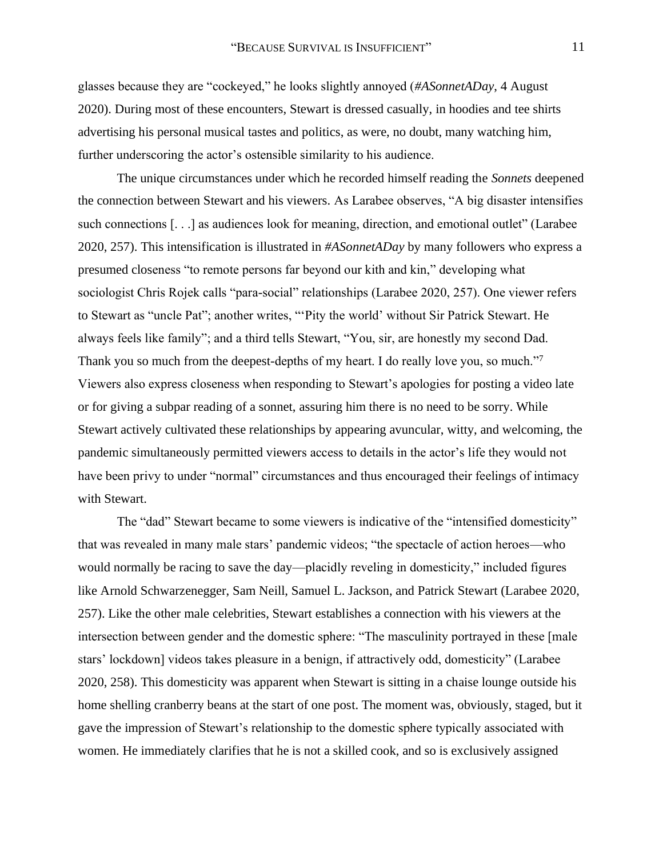glasses because they are "cockeyed," he looks slightly annoyed (*#ASonnetADay*, 4 August 2020). During most of these encounters, Stewart is dressed casually, in hoodies and tee shirts advertising his personal musical tastes and politics, as were, no doubt, many watching him, further underscoring the actor's ostensible similarity to his audience.

The unique circumstances under which he recorded himself reading the *Sonnets* deepened the connection between Stewart and his viewers. As Larabee observes, "A big disaster intensifies such connections [...] as audiences look for meaning, direction, and emotional outlet" (Larabee 2020, 257). This intensification is illustrated in *#ASonnetADay* by many followers who express a presumed closeness "to remote persons far beyond our kith and kin," developing what sociologist Chris Rojek calls "para-social" relationships (Larabee 2020, 257). One viewer refers to Stewart as "uncle Pat"; another writes, "'Pity the world' without Sir Patrick Stewart. He always feels like family"; and a third tells Stewart, "You, sir, are honestly my second Dad. Thank you so much from the deepest-depths of my heart. I do really love you, so much."<sup>7</sup> Viewers also express closeness when responding to Stewart's apologies for posting a video late or for giving a subpar reading of a sonnet, assuring him there is no need to be sorry. While Stewart actively cultivated these relationships by appearing avuncular, witty, and welcoming, the pandemic simultaneously permitted viewers access to details in the actor's life they would not have been privy to under "normal" circumstances and thus encouraged their feelings of intimacy with Stewart.

The "dad" Stewart became to some viewers is indicative of the "intensified domesticity" that was revealed in many male stars' pandemic videos; "the spectacle of action heroes—who would normally be racing to save the day—placidly reveling in domesticity," included figures like Arnold Schwarzenegger, Sam Neill, Samuel L. Jackson, and Patrick Stewart (Larabee 2020, 257). Like the other male celebrities, Stewart establishes a connection with his viewers at the intersection between gender and the domestic sphere: "The masculinity portrayed in these [male stars' lockdown] videos takes pleasure in a benign, if attractively odd, domesticity" (Larabee 2020, 258). This domesticity was apparent when Stewart is sitting in a chaise lounge outside his home shelling cranberry beans at the start of one post. The moment was, obviously, staged, but it gave the impression of Stewart's relationship to the domestic sphere typically associated with women. He immediately clarifies that he is not a skilled cook, and so is exclusively assigned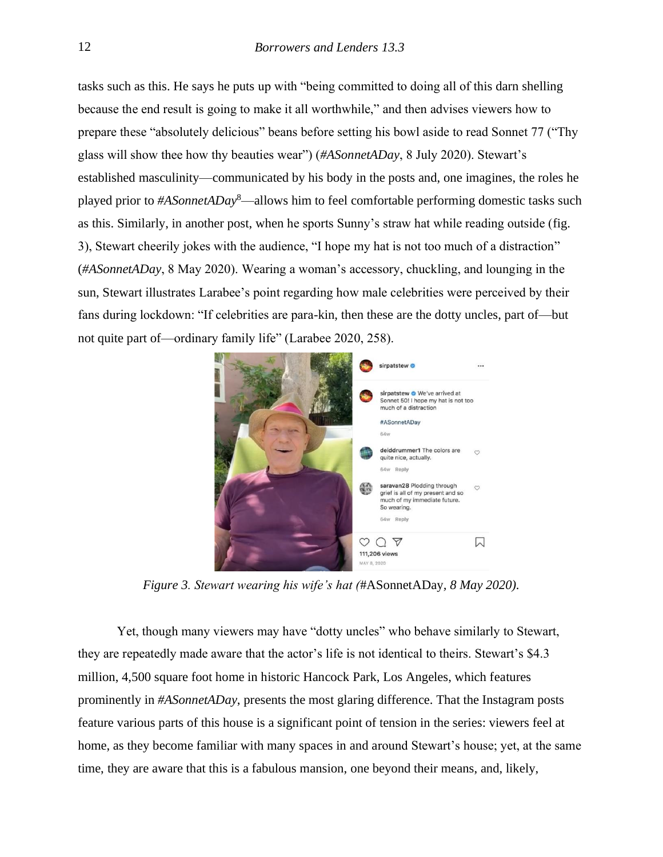tasks such as this. He says he puts up with "being committed to doing all of this darn shelling because the end result is going to make it all worthwhile," and then advises viewers how to prepare these "absolutely delicious" beans before setting his bowl aside to read Sonnet 77 ("Thy glass will show thee how thy beauties wear") (*#ASonnetADay*, 8 July 2020). Stewart's established masculinity—communicated by his body in the posts and, one imagines, the roles he played prior to *#ASonnetADay*<sup>8</sup>—allows him to feel comfortable performing domestic tasks such as this. Similarly, in another post, when he sports Sunny's straw hat while reading outside (fig. 3), Stewart cheerily jokes with the audience, "I hope my hat is not too much of a distraction" (*#ASonnetADay*, 8 May 2020). Wearing a woman's accessory, chuckling, and lounging in the sun, Stewart illustrates Larabee's point regarding how male celebrities were perceived by their fans during lockdown: "If celebrities are para-kin, then these are the dotty uncles, part of—but not quite part of—ordinary family life" (Larabee 2020, 258).



*Figure 3. Stewart wearing his wife's hat (*#ASonnetADay*, 8 May 2020).* 

Yet, though many viewers may have "dotty uncles" who behave similarly to Stewart, they are repeatedly made aware that the actor's life is not identical to theirs. Stewart's \$4.3 million, 4,500 square foot home in historic Hancock Park, Los Angeles, which features prominently in *#ASonnetADay*, presents the most glaring difference. That the Instagram posts feature various parts of this house is a significant point of tension in the series: viewers feel at home, as they become familiar with many spaces in and around Stewart's house; yet, at the same time, they are aware that this is a fabulous mansion, one beyond their means, and, likely,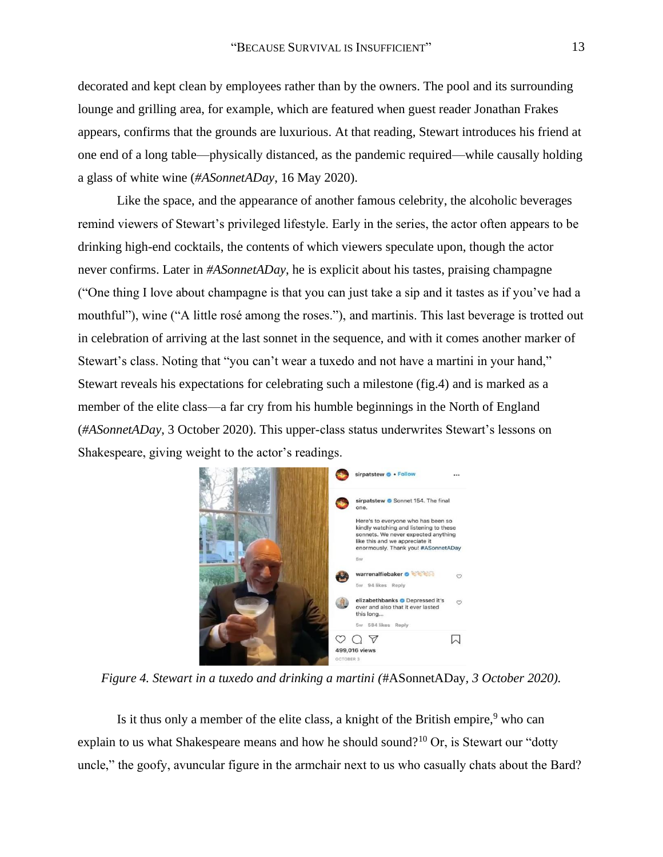decorated and kept clean by employees rather than by the owners. The pool and its surrounding lounge and grilling area, for example, which are featured when guest reader Jonathan Frakes appears, confirms that the grounds are luxurious. At that reading, Stewart introduces his friend at one end of a long table—physically distanced, as the pandemic required—while causally holding a glass of white wine (*#ASonnetADay*, 16 May 2020).

Like the space, and the appearance of another famous celebrity, the alcoholic beverages remind viewers of Stewart's privileged lifestyle. Early in the series, the actor often appears to be drinking high-end cocktails, the contents of which viewers speculate upon, though the actor never confirms. Later in *#ASonnetADay*, he is explicit about his tastes, praising champagne ("One thing I love about champagne is that you can just take a sip and it tastes as if you've had a mouthful"), wine ("A little rosé among the roses."), and martinis. This last beverage is trotted out in celebration of arriving at the last sonnet in the sequence, and with it comes another marker of Stewart's class. Noting that "you can't wear a tuxedo and not have a martini in your hand," Stewart reveals his expectations for celebrating such a milestone (fig.4) and is marked as a member of the elite class—a far cry from his humble beginnings in the North of England (*#ASonnetADay*, 3 October 2020). This upper-class status underwrites Stewart's lessons on Shakespeare, giving weight to the actor's readings.



*Figure 4. Stewart in a tuxedo and drinking a martini (*#ASonnetADay*, 3 October 2020).* 

Is it thus only a member of the elite class, a knight of the British empire,  $9$  who can explain to us what Shakespeare means and how he should sound?<sup>10</sup> Or, is Stewart our "dotty" uncle," the goofy, avuncular figure in the armchair next to us who casually chats about the Bard?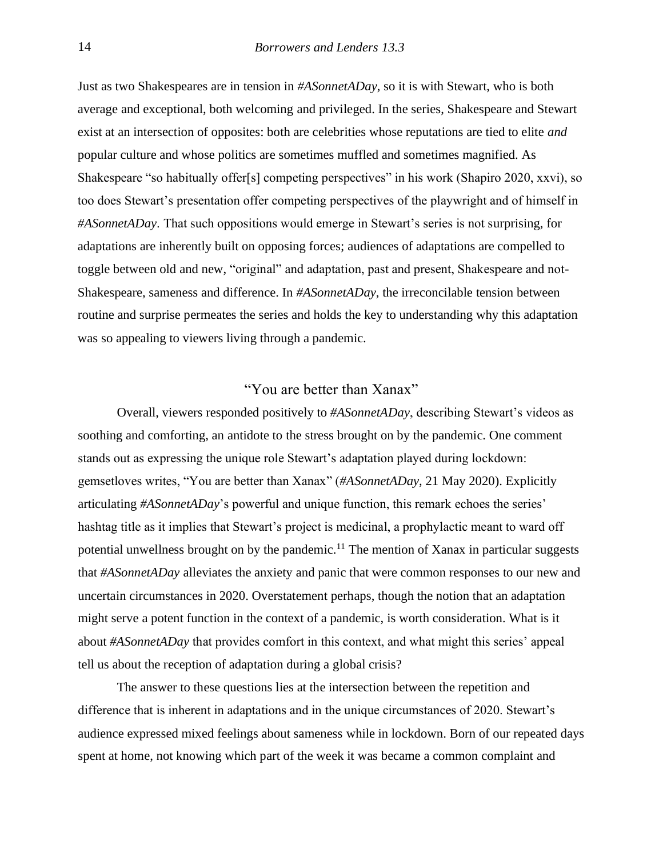Just as two Shakespeares are in tension in *#ASonnetADay*, so it is with Stewart, who is both average and exceptional, both welcoming and privileged. In the series, Shakespeare and Stewart exist at an intersection of opposites: both are celebrities whose reputations are tied to elite *and* popular culture and whose politics are sometimes muffled and sometimes magnified. As Shakespeare "so habitually offer[s] competing perspectives" in his work (Shapiro 2020, xxvi), so too does Stewart's presentation offer competing perspectives of the playwright and of himself in *#ASonnetADay*. That such oppositions would emerge in Stewart's series is not surprising, for adaptations are inherently built on opposing forces; audiences of adaptations are compelled to toggle between old and new, "original" and adaptation, past and present, Shakespeare and not-Shakespeare, sameness and difference. In *#ASonnetADay*, the irreconcilable tension between routine and surprise permeates the series and holds the key to understanding why this adaptation was so appealing to viewers living through a pandemic.

#### "You are better than Xanax"

Overall, viewers responded positively to *#ASonnetADay*, describing Stewart's videos as soothing and comforting, an antidote to the stress brought on by the pandemic. One comment stands out as expressing the unique role Stewart's adaptation played during lockdown: gemsetloves writes, "You are better than Xanax" (*#ASonnetADay*, 21 May 2020). Explicitly articulating *#ASonnetADay*'s powerful and unique function, this remark echoes the series' hashtag title as it implies that Stewart's project is medicinal, a prophylactic meant to ward off potential unwellness brought on by the pandemic.<sup>11</sup> The mention of Xanax in particular suggests that *#ASonnetADay* alleviates the anxiety and panic that were common responses to our new and uncertain circumstances in 2020. Overstatement perhaps, though the notion that an adaptation might serve a potent function in the context of a pandemic, is worth consideration. What is it about *#ASonnetADay* that provides comfort in this context, and what might this series' appeal tell us about the reception of adaptation during a global crisis?

The answer to these questions lies at the intersection between the repetition and difference that is inherent in adaptations and in the unique circumstances of 2020. Stewart's audience expressed mixed feelings about sameness while in lockdown. Born of our repeated days spent at home, not knowing which part of the week it was became a common complaint and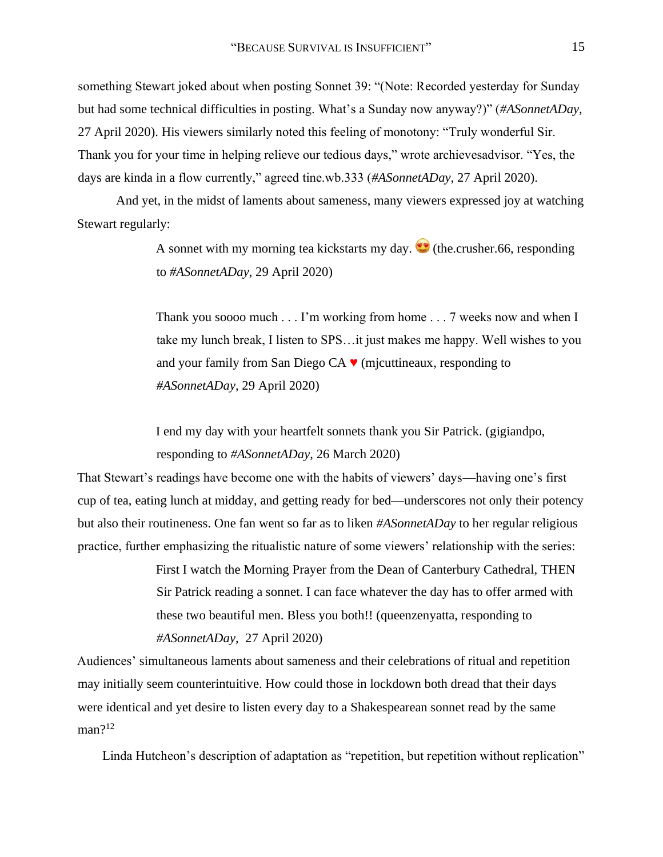something Stewart joked about when posting Sonnet 39: "(Note: Recorded yesterday for Sunday but had some technical difficulties in posting. What's a Sunday now anyway?)" (*#ASonnetADay*, 27 April 2020). His viewers similarly noted this feeling of monotony: "Truly wonderful Sir. Thank you for your time in helping relieve our tedious days," wrote archievesadvisor. "Yes, the days are kinda in a flow currently," agreed tine.wb.333 (*#ASonnetADay*, 27 April 2020).

And yet, in the midst of laments about sameness, many viewers expressed joy at watching Stewart regularly:

> A sonnet with my morning tea kickstarts my day.  $\bullet$  (the.crusher.66, responding to *#ASonnetADay*, 29 April 2020)

Thank you soooo much . . . I'm working from home . . . 7 weeks now and when I take my lunch break, I listen to SPS…it just makes me happy. Well wishes to you and your family from San Diego CA  $\blacktriangledown$  (mjcuttineaux, responding to *#ASonnetADay*, 29 April 2020)

I end my day with your heartfelt sonnets thank you Sir Patrick. (gigiandpo, responding to *#ASonnetADay*, 26 March 2020)

That Stewart's readings have become one with the habits of viewers' days—having one's first cup of tea, eating lunch at midday, and getting ready for bed—underscores not only their potency but also their routineness. One fan went so far as to liken *#ASonnetADay* to her regular religious practice, further emphasizing the ritualistic nature of some viewers' relationship with the series:

> First I watch the Morning Prayer from the Dean of Canterbury Cathedral, THEN Sir Patrick reading a sonnet. I can face whatever the day has to offer armed with these two beautiful men. Bless you both!! (queenzenyatta, responding to *#ASonnetADay*, 27 April 2020)

Audiences' simultaneous laments about sameness and their celebrations of ritual and repetition may initially seem counterintuitive. How could those in lockdown both dread that their days were identical and yet desire to listen every day to a Shakespearean sonnet read by the same  $man?$ <sup>12</sup>

Linda Hutcheon's description of adaptation as "repetition, but repetition without replication"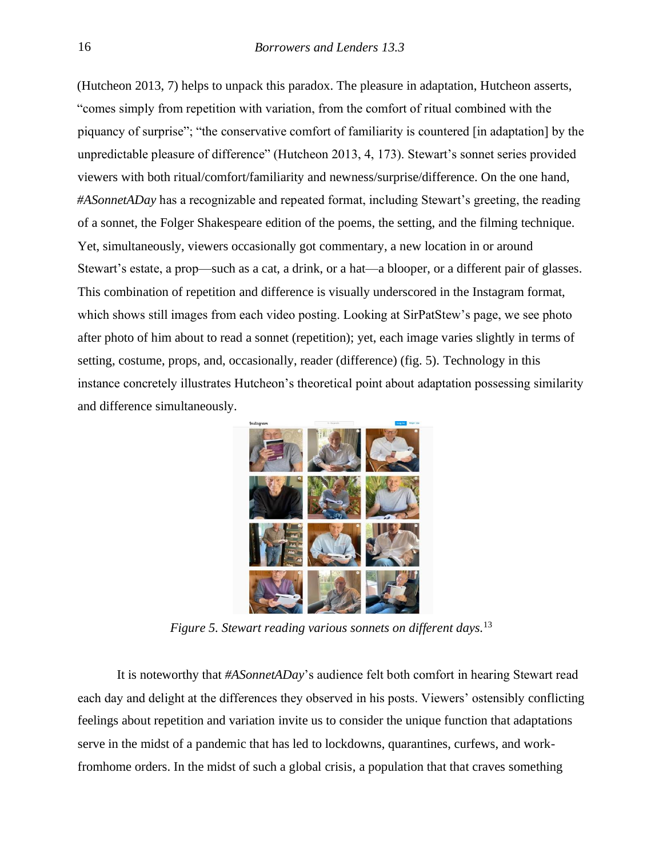(Hutcheon 2013, 7) helps to unpack this paradox. The pleasure in adaptation, Hutcheon asserts, "comes simply from repetition with variation, from the comfort of ritual combined with the piquancy of surprise"; "the conservative comfort of familiarity is countered [in adaptation] by the unpredictable pleasure of difference" (Hutcheon 2013, 4, 173). Stewart's sonnet series provided viewers with both ritual/comfort/familiarity and newness/surprise/difference. On the one hand, *#ASonnetADay* has a recognizable and repeated format, including Stewart's greeting, the reading of a sonnet, the Folger Shakespeare edition of the poems, the setting, and the filming technique. Yet, simultaneously, viewers occasionally got commentary, a new location in or around Stewart's estate, a prop—such as a cat, a drink, or a hat—a blooper, or a different pair of glasses. This combination of repetition and difference is visually underscored in the Instagram format, which shows still images from each video posting. Looking at SirPatStew's page, we see photo after photo of him about to read a sonnet (repetition); yet, each image varies slightly in terms of setting, costume, props, and, occasionally, reader (difference) (fig. 5). Technology in this instance concretely illustrates Hutcheon's theoretical point about adaptation possessing similarity and difference simultaneously.



*Figure 5. Stewart reading various sonnets on different days.*<sup>13</sup>

It is noteworthy that *#ASonnetADay*'s audience felt both comfort in hearing Stewart read each day and delight at the differences they observed in his posts. Viewers' ostensibly conflicting feelings about repetition and variation invite us to consider the unique function that adaptations serve in the midst of a pandemic that has led to lockdowns, quarantines, curfews, and workfromhome orders. In the midst of such a global crisis, a population that that craves something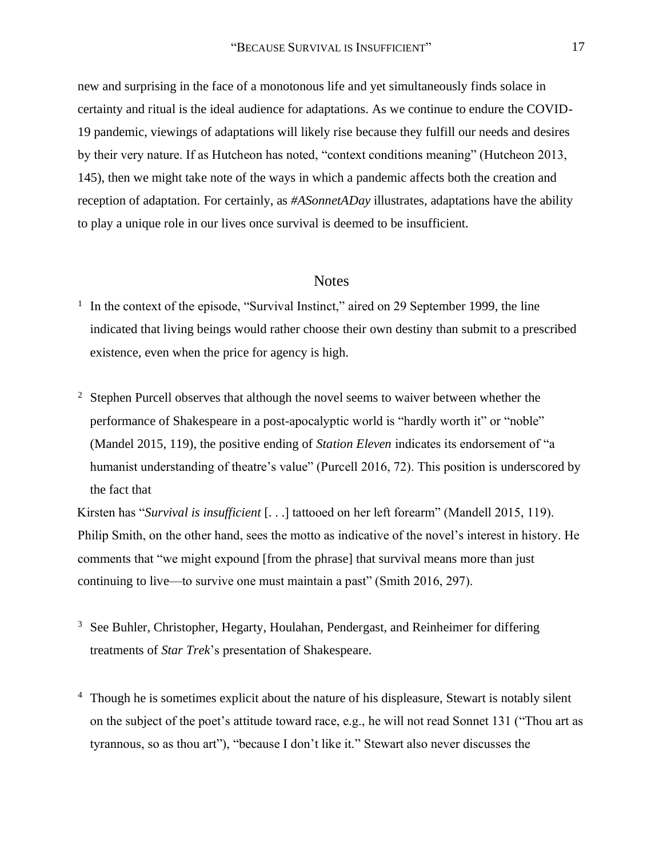new and surprising in the face of a monotonous life and yet simultaneously finds solace in certainty and ritual is the ideal audience for adaptations. As we continue to endure the COVID-19 pandemic, viewings of adaptations will likely rise because they fulfill our needs and desires by their very nature. If as Hutcheon has noted, "context conditions meaning" (Hutcheon 2013, 145), then we might take note of the ways in which a pandemic affects both the creation and reception of adaptation. For certainly, as *#ASonnetADay* illustrates, adaptations have the ability to play a unique role in our lives once survival is deemed to be insufficient.

#### **Notes**

- <sup>1</sup> In the context of the episode, "Survival Instinct," aired on 29 September 1999, the line indicated that living beings would rather choose their own destiny than submit to a prescribed existence, even when the price for agency is high.
- <sup>2</sup> Stephen Purcell observes that although the novel seems to waiver between whether the performance of Shakespeare in a post-apocalyptic world is "hardly worth it" or "noble" (Mandel 2015, 119), the positive ending of *Station Eleven* indicates its endorsement of "a humanist understanding of theatre's value" (Purcell 2016, 72). This position is underscored by the fact that

Kirsten has "*Survival is insufficient* [. . .] tattooed on her left forearm" (Mandell 2015, 119). Philip Smith, on the other hand, sees the motto as indicative of the novel's interest in history. He comments that "we might expound [from the phrase] that survival means more than just continuing to live—to survive one must maintain a past" (Smith 2016, 297).

- <sup>3</sup> See Buhler, Christopher, Hegarty, Houlahan, Pendergast, and Reinheimer for differing treatments of *Star Trek*'s presentation of Shakespeare.
- <sup>4</sup> Though he is sometimes explicit about the nature of his displeasure, Stewart is notably silent on the subject of the poet's attitude toward race, e.g., he will not read Sonnet 131 ("Thou art as tyrannous, so as thou art"), "because I don't like it." Stewart also never discusses the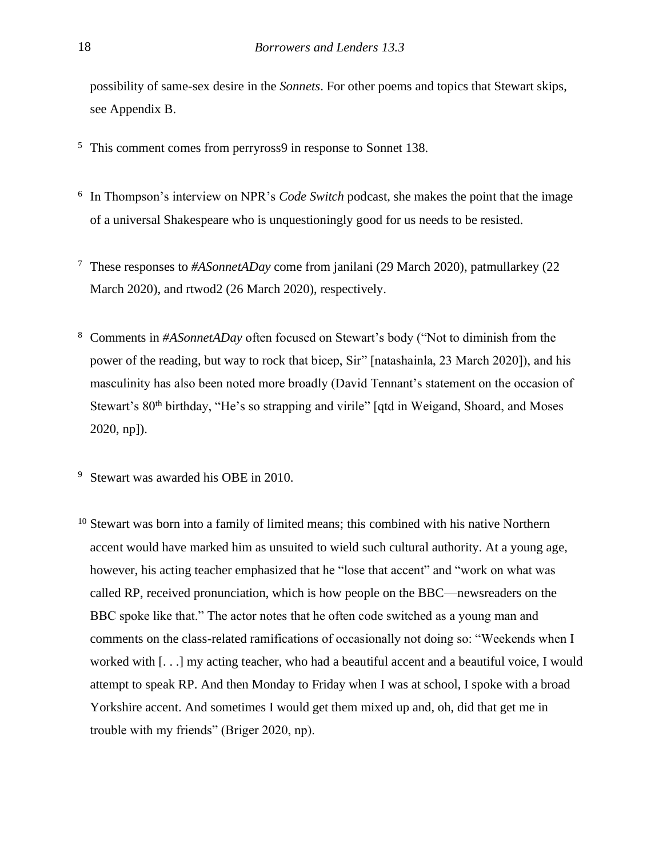possibility of same-sex desire in the *Sonnets*. For other poems and topics that Stewart skips, see Appendix B.

- <sup>5</sup> This comment comes from perryross9 in response to Sonnet 138.
- <sup>6</sup> In Thompson's interview on NPR's *Code Switch* podcast, she makes the point that the image of a universal Shakespeare who is unquestioningly good for us needs to be resisted.
- <sup>7</sup> These responses to *#ASonnetADay* come from janilani (29 March 2020), patmullarkey (22 March 2020), and rtwod2 (26 March 2020), respectively.
- <sup>8</sup> Comments in *#ASonnetADay* often focused on Stewart's body ("Not to diminish from the power of the reading, but way to rock that bicep, Sir" [natashainla, 23 March 2020]), and his masculinity has also been noted more broadly (David Tennant's statement on the occasion of Stewart's 80<sup>th</sup> birthday, "He's so strapping and virile" [qtd in Weigand, Shoard, and Moses 2020, np]).
- <sup>9</sup> Stewart was awarded his OBE in 2010.
- <sup>10</sup> Stewart was born into a family of limited means; this combined with his native Northern accent would have marked him as unsuited to wield such cultural authority. At a young age, however, his acting teacher emphasized that he "lose that accent" and "work on what was called RP, received pronunciation, which is how people on the BBC—newsreaders on the BBC spoke like that." The actor notes that he often code switched as a young man and comments on the class-related ramifications of occasionally not doing so: "Weekends when I worked with [. . .] my acting teacher, who had a beautiful accent and a beautiful voice, I would attempt to speak RP. And then Monday to Friday when I was at school, I spoke with a broad Yorkshire accent. And sometimes I would get them mixed up and, oh, did that get me in trouble with my friends" (Briger 2020, np).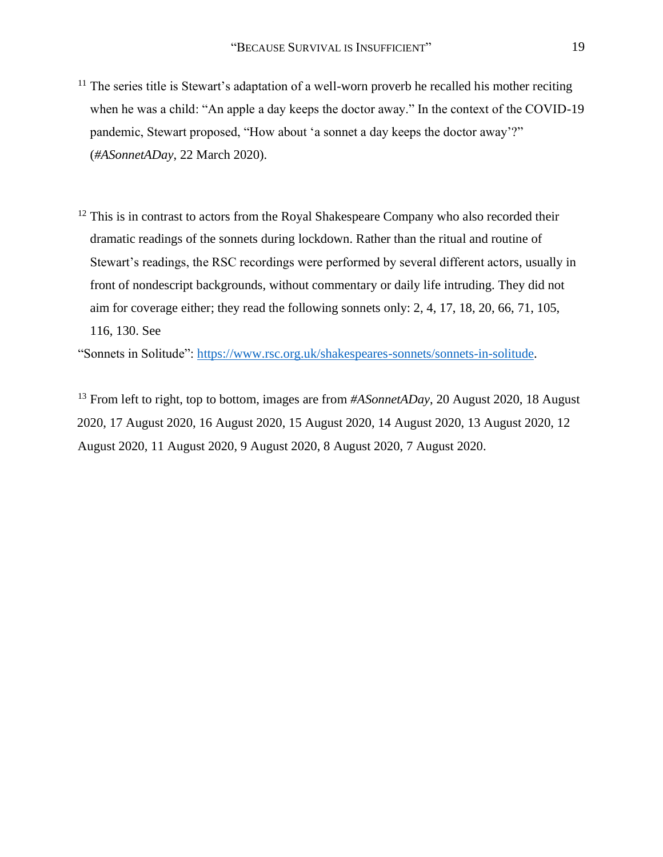- $11$  The series title is Stewart's adaptation of a well-worn proverb he recalled his mother reciting when he was a child: "An apple a day keeps the doctor away." In the context of the COVID-19 pandemic, Stewart proposed, "How about 'a sonnet a day keeps the doctor away'?" (*#ASonnetADay*, 22 March 2020).
- $12$  This is in contrast to actors from the Royal Shakespeare Company who also recorded their dramatic readings of the sonnets during lockdown. Rather than the ritual and routine of Stewart's readings, the RSC recordings were performed by several different actors, usually in front of nondescript backgrounds, without commentary or daily life intruding. They did not aim for coverage either; they read the following sonnets only: 2, 4, 17, 18, 20, 66, 71, 105, 116, 130. See

"Sonnets in Solitude": [https://www.rsc.org.uk/shakespeares-sonnets/sonnets-in-solitude.](https://www.rsc.org.uk/shakespeares-sonnets/sonnets-in-solitude) 

<sup>13</sup> From left to right, top to bottom, images are from *#ASonnetADay*, 20 August 2020, 18 August 2020, 17 August 2020, 16 August 2020, 15 August 2020, 14 August 2020, 13 August 2020, 12 August 2020, 11 August 2020, 9 August 2020, 8 August 2020, 7 August 2020.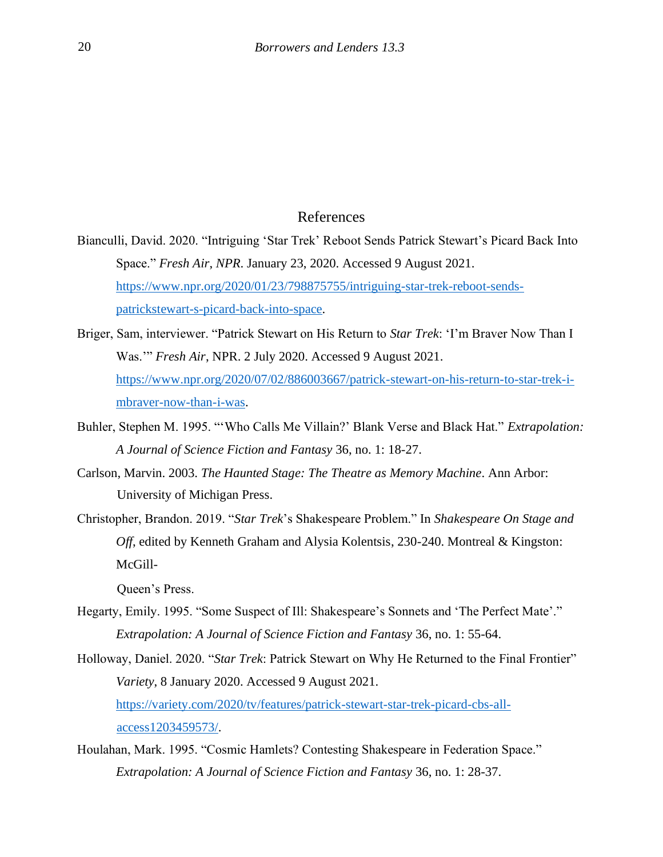### References

- Bianculli, David. 2020. "Intriguing 'Star Trek' Reboot Sends Patrick Stewart's Picard Back Into Space." *Fresh Air*, *NPR*. January 23, 2020. Accessed 9 August 2021. [https://www.npr.org/2020/01/23/798875755/intriguing-star-trek-reboot-sends](https://www.npr.org/2020/01/23/798875755/intriguing-star-trek-reboot-sends-patrick-stewart-s-picard-back-into-space)[patrickstewart-s-picard-back-into-space.](https://www.npr.org/2020/01/23/798875755/intriguing-star-trek-reboot-sends-patrick-stewart-s-picard-back-into-space)
- Briger, Sam, interviewer. "Patrick Stewart on His Return to *Star Trek*: 'I'm Braver Now Than I Was.'" *Fresh Air*, NPR. 2 July 2020. Accessed 9 August 2021. [https://www.npr.org/2020/07/02/886003667/patrick-stewart-on-his-return-to-star-trek-i](https://www.npr.org/2020/07/02/886003667/patrick-stewart-on-his-return-to-star-trek-i-m-braver-now-than-i-was)[mbraver-now-than-i-was.](https://www.npr.org/2020/07/02/886003667/patrick-stewart-on-his-return-to-star-trek-i-m-braver-now-than-i-was)
- Buhler, Stephen M. 1995. "'Who Calls Me Villain?' Blank Verse and Black Hat." *Extrapolation: A Journal of Science Fiction and Fantasy* 36, no. 1: 18-27.
- Carlson, Marvin. 2003. *The Haunted Stage: The Theatre as Memory Machine*. Ann Arbor: University of Michigan Press.
- Christopher, Brandon. 2019. "*Star Trek*'s Shakespeare Problem." In *Shakespeare On Stage and Off*, edited by Kenneth Graham and Alysia Kolentsis, 230-240. Montreal & Kingston: McGill-

Queen's Press.

- Hegarty, Emily. 1995. "Some Suspect of Ill: Shakespeare's Sonnets and 'The Perfect Mate'." *Extrapolation: A Journal of Science Fiction and Fantasy* 36, no. 1: 55-64.
- Holloway, Daniel. 2020. "*Star Trek*: Patrick Stewart on Why He Returned to the Final Frontier" *Variety*, 8 January 2020. Accessed 9 August 2021. [https://variety.com/2020/tv/features/patrick-stewart-star-trek-picard-cbs-all](https://variety.com/2020/tv/features/patrick-stewart-star-trek-picard-cbs-all-access-1203459573/)[access1203459573/.](https://variety.com/2020/tv/features/patrick-stewart-star-trek-picard-cbs-all-access-1203459573/)
- Houlahan, Mark. 1995. "Cosmic Hamlets? Contesting Shakespeare in Federation Space." *Extrapolation: A Journal of Science Fiction and Fantasy* 36, no. 1: 28-37.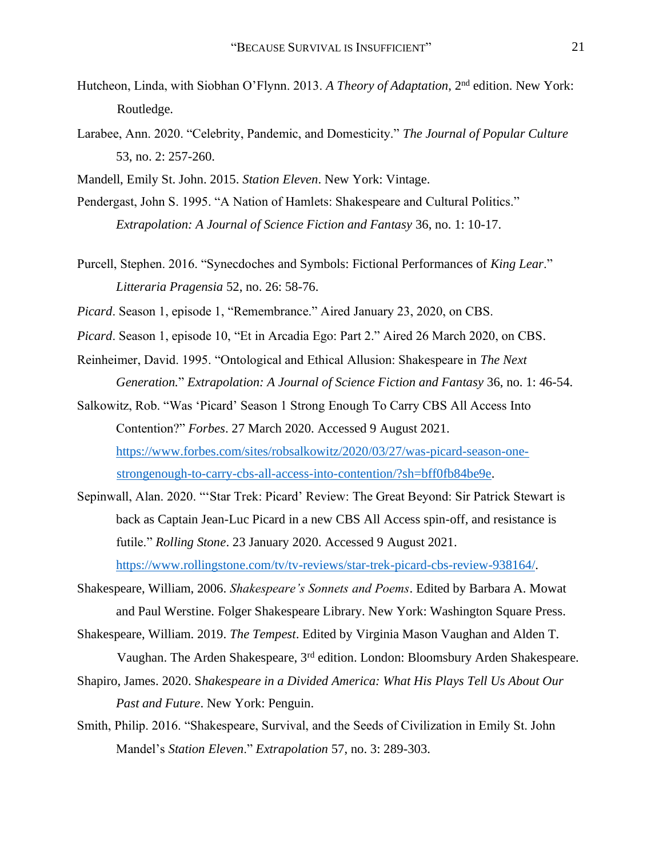- Hutcheon, Linda, with Siobhan O'Flynn. 2013. *A Theory of Adaptation*, 2nd edition. New York: Routledge.
- Larabee, Ann. 2020. "Celebrity, Pandemic, and Domesticity." *The Journal of Popular Culture* 53, no. 2: 257-260.
- Mandell, Emily St. John. 2015. *Station Eleven*. New York: Vintage.
- Pendergast, John S. 1995. "A Nation of Hamlets: Shakespeare and Cultural Politics." *Extrapolation: A Journal of Science Fiction and Fantasy* 36, no. 1: 10-17.
- Purcell, Stephen. 2016. "Synecdoches and Symbols: Fictional Performances of *King Lear*." *Litteraria Pragensia* 52, no. 26: 58-76.
- *Picard*. Season 1, episode 1, "Remembrance." Aired January 23, 2020, on CBS.
- *Picard*. Season 1, episode 10, "Et in Arcadia Ego: Part 2." Aired 26 March 2020, on CBS.
- Reinheimer, David. 1995. "Ontological and Ethical Allusion: Shakespeare in *The Next Generation.*" *Extrapolation: A Journal of Science Fiction and Fantasy* 36, no. 1: 46-54.
- Salkowitz, Rob. "Was 'Picard' Season 1 Strong Enough To Carry CBS All Access Into Contention?" *Forbes*. 27 March 2020. Accessed 9 August 2021. [https://www.forbes.com/sites/robsalkowitz/2020/03/27/was-picard-season-one](https://www.forbes.com/sites/robsalkowitz/2020/03/27/was-picard-season-one-strong-enough-to-carry-cbs-all-access-into-contention/?sh=bff0fb84be9e)[strongenough-to-carry-cbs-all-access-into-contention/?sh=bff0fb84be9e.](https://www.forbes.com/sites/robsalkowitz/2020/03/27/was-picard-season-one-strong-enough-to-carry-cbs-all-access-into-contention/?sh=bff0fb84be9e)
- Sepinwall, Alan. 2020. "'Star Trek: Picard' Review: The Great Beyond: Sir Patrick Stewart is back as Captain Jean-Luc Picard in a new CBS All Access spin-off, and resistance is futile." *Rolling Stone*. 23 January 2020. Accessed 9 August 2021. [https://www.rollingstone.com/tv/tv-reviews/star-trek-picard-cbs-review-938164/.](https://www.rollingstone.com/tv/tv-reviews/star-trek-picard-cbs-review-938164/)
- Shakespeare, William, 2006. *Shakespeare's Sonnets and Poems*. Edited by Barbara A. Mowat and Paul Werstine. Folger Shakespeare Library. New York: Washington Square Press.
- Shakespeare, William. 2019. *The Tempest*. Edited by Virginia Mason Vaughan and Alden T. Vaughan. The Arden Shakespeare, 3rd edition. London: Bloomsbury Arden Shakespeare.
- Shapiro, James. 2020. S*hakespeare in a Divided America: What His Plays Tell Us About Our Past and Future*. New York: Penguin.
- Smith, Philip. 2016. "Shakespeare, Survival, and the Seeds of Civilization in Emily St. John Mandel's *Station Eleven*." *Extrapolation* 57, no. 3: 289-303.